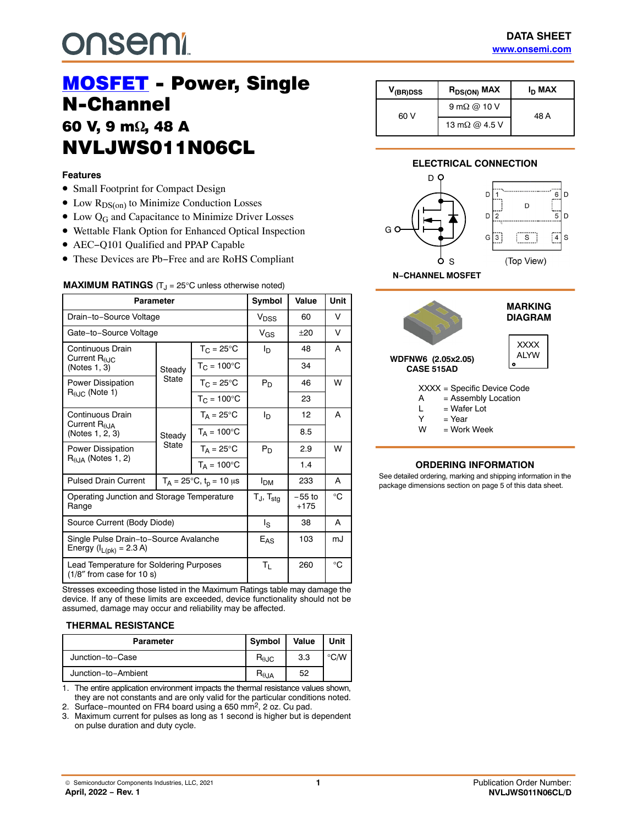# **onsemi**

# **MOSFET** - Power, Single<br>N-Channel **60 V, 9 mΩ, 48**<br>NN/L IWSO4 **NVLJWS011N06CL** NVLJU STARODNI STARODNI STARODNI STARODNI STARODNI STARODNI STARODNI STARODNI STARODNI STARODNI STARODNI STARODNI STARODNI STARODNI STARODNI STARODNI STARODNI STARODNI STARODNI STARODNI STARODNI STARODNI STARODNI STARODNI

#### **Features**

- Small Footprint for Compact Design
- $\bullet$  Low  $R_{DS(on)}$  to Minimize Conduction Losses
- $\bullet$  Low Q<sub>G</sub> and Capacitance to Minimize Driver Losses
- Wettable Flank Option for Enhanced Optical Inspection
- AEC−Q101 Qualified and PPAP Capable
- These Devices are Pb−Free and are RoHS Compliant

#### **MAXIMUM RATINGS** (T<sub>J</sub> = 25°C unless otherwise noted)

| Parameter                                                               |                 |                                     | Symbol                   | Value              | <b>Unit</b> |
|-------------------------------------------------------------------------|-----------------|-------------------------------------|--------------------------|--------------------|-------------|
| Drain-to-Source Voltage                                                 |                 |                                     | Vnss                     | 60                 | v           |
| Gate-to-Source Voltage                                                  |                 |                                     | V <sub>GS</sub>          | $+20$              | v           |
| Continuous Drain                                                        |                 | $T_{C} = 25^{\circ}$ C              | ΙD                       | 48                 | A           |
| Current $R_{0,IC}$<br>(Notes 1, 3)                                      | Steady          | $T_{C} = 100^{\circ}C$              |                          | 34                 |             |
| <b>Power Dissipation</b>                                                | State           | $T_{C} = 25^{\circ}$ C              | $P_D$                    | 46                 | W           |
| $R_{\theta,IC}$ (Note 1)                                                |                 | $T_{C}$ = 100 $^{\circ}$ C          |                          | 23                 |             |
| Continuous Drain                                                        | Steady<br>State | $T_A = 25^{\circ}C$                 | I <sub>D</sub>           | 12                 | A           |
| Current $R0.1A$<br>(Notes 1, 2, 3)                                      |                 | $T_A = 100^{\circ}$ C               |                          | 8.5                |             |
| Power Dissipation                                                       |                 | $T_A = 25^{\circ}C$                 | $P_D$                    | 2.9                | W           |
| $R0.1A$ (Notes 1, 2)                                                    |                 | $T_A = 100^{\circ}$ C               |                          | 1.4                |             |
| <b>Pulsed Drain Current</b>                                             |                 | $T_A = 25^{\circ}C, t_p = 10 \mu s$ | <b>I<sub>DM</sub></b>    | 233                | A           |
| Operating Junction and Storage Temperature<br>Range                     |                 |                                     | $T_J$ , $T_{\text{stg}}$ | $-55$ to<br>$+175$ | ി∘          |
| Source Current (Body Diode)                                             |                 |                                     | l <sub>S</sub>           | 38                 | A           |
| Single Pulse Drain-to-Source Avalanche<br>Energy ( $I_{L(pk)}$ = 2.3 A) |                 |                                     | E <sub>AS</sub>          | 103                | mJ          |
| Lead Temperature for Soldering Purposes<br>$(1/8"$ from case for 10 s)  |                 |                                     | Τı.                      | 260                | °C          |

Stresses exceeding those listed in the Maximum Ratings table may damage the device. If any of these limits are exceeded, device functionality should not be assumed, damage may occur and reliability may be affected.

#### **THERMAL RESISTANCE**

| <b>Parameter</b>    | Symbol                 | Value | Unit |
|---------------------|------------------------|-------|------|
| Junction-to-Case    | $R_{\theta \text{JC}}$ | 3.3   | °C∕W |
| Junction-to-Ambient | $R_{\theta$ JA         | 52    |      |

1. The entire application environment impacts the thermal resistance values shown, they are not constants and are only valid for the particular conditions noted.

2. Surface−mounted on FR4 board using a 650 mm2, 2 oz. Cu pad.

3. Maximum current for pulses as long as 1 second is higher but is dependent on pulse duration and duty cycle.

| V <sub>(BR)DSS</sub> | $R_{DS(ON)}$ MAX      | I <sub>D</sub> MAX |
|----------------------|-----------------------|--------------------|
| 60 V                 | $9 \text{ mA}$ @ 10 V | 48 A               |
|                      | 13 m $\Omega$ @ 4.5 V |                    |

#### **ELECTRICAL CONNECTION**





#### **ORDERING INFORMATION**

See detailed ordering, marking and shipping information in the package dimensions section on page [5](#page-4-0) of this data sheet.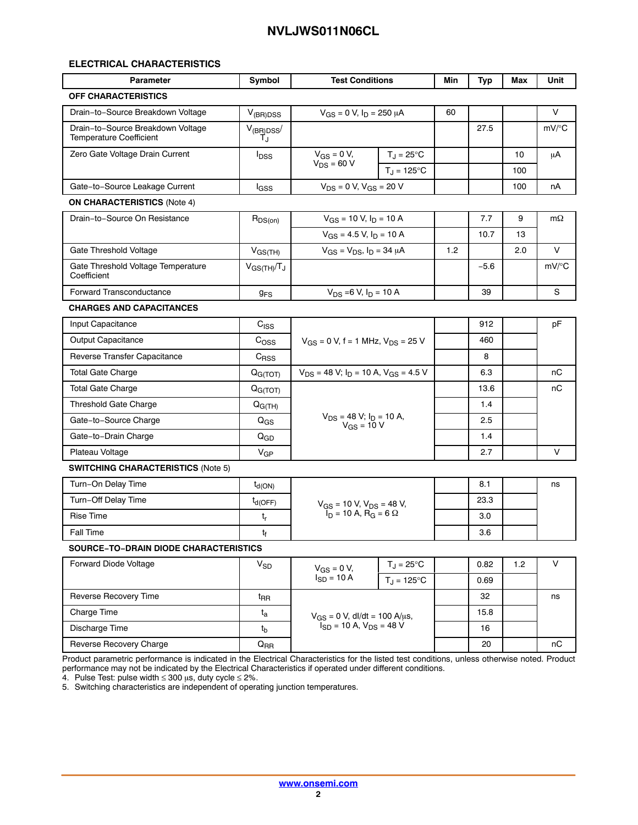#### **ELECTRICAL CHARACTERISTICS**

| <b>Parameter</b>                                                    | Symbol                | <b>Test Conditions</b>                                                                          |  | Min | <b>Typ</b> | Max | Unit      |
|---------------------------------------------------------------------|-----------------------|-------------------------------------------------------------------------------------------------|--|-----|------------|-----|-----------|
| <b>OFF CHARACTERISTICS</b>                                          |                       |                                                                                                 |  |     |            |     |           |
| Drain-to-Source Breakdown Voltage                                   | $V_{(BR)DSS}$         | $V_{GS} = 0 V$ , $I_D = 250 \mu A$                                                              |  | 60  |            |     | V         |
| Drain-to-Source Breakdown Voltage<br><b>Temperature Coefficient</b> | $V_{(BR)DSS}$<br>Т.г  |                                                                                                 |  |     | 27.5       |     | $mV$ /°C  |
| Zero Gate Voltage Drain Current                                     | $I_{DSS}$             | $V_{GS} = 0 V$ ,<br>$T_J = 25^{\circ}C$<br>$V_{DS}$ = 60 V<br>$T_J = 125$ °C                    |  |     |            | 10  | μA        |
|                                                                     |                       |                                                                                                 |  |     |            | 100 |           |
| Gate-to-Source Leakage Current                                      | lgss                  | $V_{DS} = 0 V$ , $V_{GS} = 20 V$                                                                |  |     |            | 100 | nA        |
| <b>ON CHARACTERISTICS (Note 4)</b>                                  |                       |                                                                                                 |  |     |            |     |           |
| Drain-to-Source On Resistance                                       | $R_{DS(on)}$          | $V_{GS}$ = 10 V, $I_D$ = 10 A<br>$V_{GS}$ = 4.5 V, $I_D$ = 10 A                                 |  |     | 7.7        | 9   | $m\Omega$ |
|                                                                     |                       |                                                                                                 |  |     | 10.7       | 13  |           |
| Gate Threshold Voltage                                              | $V_{GS(TH)}$          | $V_{GS} = V_{DS}$ , $I_D = 34 \mu A$                                                            |  | 1.2 |            | 2.0 | $\vee$    |
| Gate Threshold Voltage Temperature<br>Coefficient                   | $V_{GS(TH)}/T_J$      |                                                                                                 |  |     | $-5.6$     |     | mV/°C     |
| Forward Transconductance                                            | <b>g<sub>FS</sub></b> | $V_{DS}$ =6 V, $I_D$ = 10 A                                                                     |  |     | 39         |     | S         |
| <b>CHARGES AND CAPACITANCES</b>                                     |                       |                                                                                                 |  |     |            |     |           |
| Input Capacitance                                                   | C <sub>ISS</sub>      | $V_{GS}$ = 0 V, f = 1 MHz, $V_{DS}$ = 25 V                                                      |  |     | 912        |     | рF        |
| Output Capacitance                                                  | C <sub>OSS</sub>      |                                                                                                 |  |     | 460        |     |           |
| Reverse Transfer Capacitance                                        | $C_{\rm RSS}$         |                                                                                                 |  |     | 8          |     |           |
| <b>Total Gate Charge</b>                                            | Q <sub>G(TOT)</sub>   | $V_{DS}$ = 48 V; $I_D$ = 10 A, $V_{GS}$ = 4.5 V                                                 |  |     | 6.3        |     | пC        |
| <b>Total Gate Charge</b>                                            | Q <sub>G(TOT)</sub>   | $V_{DS}$ = 48 V; $I_D$ = 10 A,<br>$V_{GS}$ = 10 V                                               |  |     | 13.6       |     | пC        |
| <b>Threshold Gate Charge</b>                                        | $Q_{G(TH)}$           |                                                                                                 |  |     | 1.4        |     |           |
| Gate-to-Source Charge                                               | $Q_{GS}$              |                                                                                                 |  |     | 2.5        |     |           |
| Gate-to-Drain Charge                                                | $Q_{GD}$              |                                                                                                 |  |     | 1.4        |     |           |
| Plateau Voltage                                                     | $V_{GP}$              |                                                                                                 |  |     | 2.7        |     | $\vee$    |
| <b>SWITCHING CHARACTERISTICS (Note 5)</b>                           |                       |                                                                                                 |  |     |            |     |           |
| Turn-On Delay Time                                                  | $t_{d(ON)}$           | $V_{GS}$ = 10 V, $V_{DS}$ = 48 V,<br>$\overline{I}_{D}$ = 10 A, $\overline{R}_{G}$ = 6 $\Omega$ |  |     | 8.1        |     | ns        |
| Turn-Off Delay Time                                                 | $t_{d(OFF)}$          |                                                                                                 |  |     | 23.3       |     |           |
| <b>Rise Time</b>                                                    | $t_{\sf r}$           |                                                                                                 |  |     | 3.0        |     |           |
| <b>Fall Time</b>                                                    | t <sub>f</sub>        |                                                                                                 |  |     | 3.6        |     |           |
| SOURCE-TO-DRAIN DIODE CHARACTERISTICS                               |                       |                                                                                                 |  |     |            |     |           |
| Forward Diode Voltage                                               | $V_{SD}$              | $T_J = 25$ °C<br>$V_{GS} = 0 V$ ,<br>$I_{SD} = 10 A$<br>$T_J = 125$ °C                          |  |     | 0.82       | 1.2 | V         |
|                                                                     |                       |                                                                                                 |  |     | 0.69       |     |           |
| Reverse Recovery Time                                               | $t_{\sf RR}$          | $V_{GS} = 0 V$ , dl/dt = 100 A/µs,<br>$I_{SD} = 10 A$ , $V_{DS} = 48 V$                         |  |     | 32         |     | ns        |
| Charge Time                                                         | t <sub>a</sub>        |                                                                                                 |  |     | 15.8       |     |           |
| Discharge Time                                                      | $t_{\rm b}$           |                                                                                                 |  |     | 16         |     |           |
| Reverse Recovery Charge                                             | $Q_{RR}$              |                                                                                                 |  |     | 20         |     | пC        |

Product parametric performance is indicated in the Electrical Characteristics for the listed test conditions, unless otherwise noted. Product performance may not be indicated by the Electrical Characteristics if operated under different conditions.

4. Pulse Test: pulse width ≤ 300  $\mu$ s, duty cycle ≤ 2%.

5. Switching characteristics are independent of operating junction temperatures.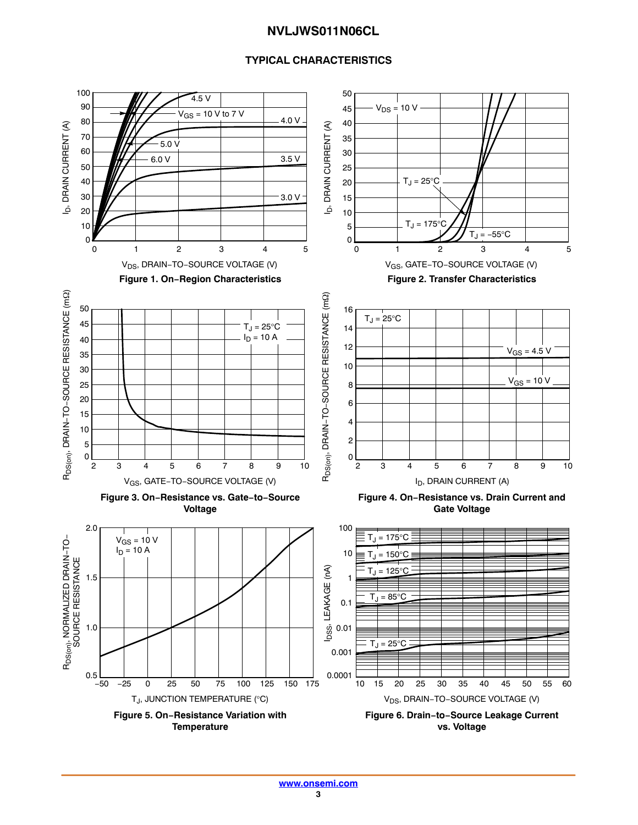#### **TYPICAL CHARACTERISTICS**

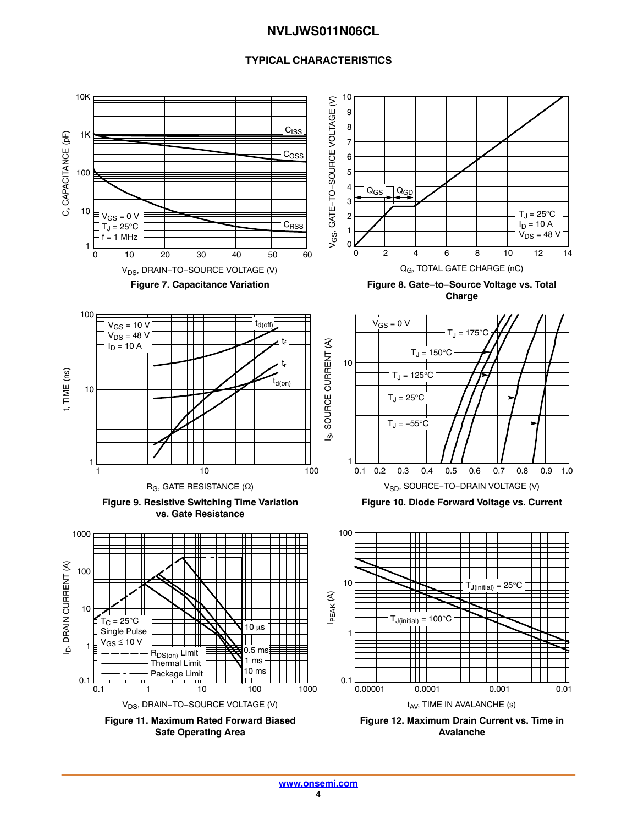#### **TYPICAL CHARACTERISTICS**

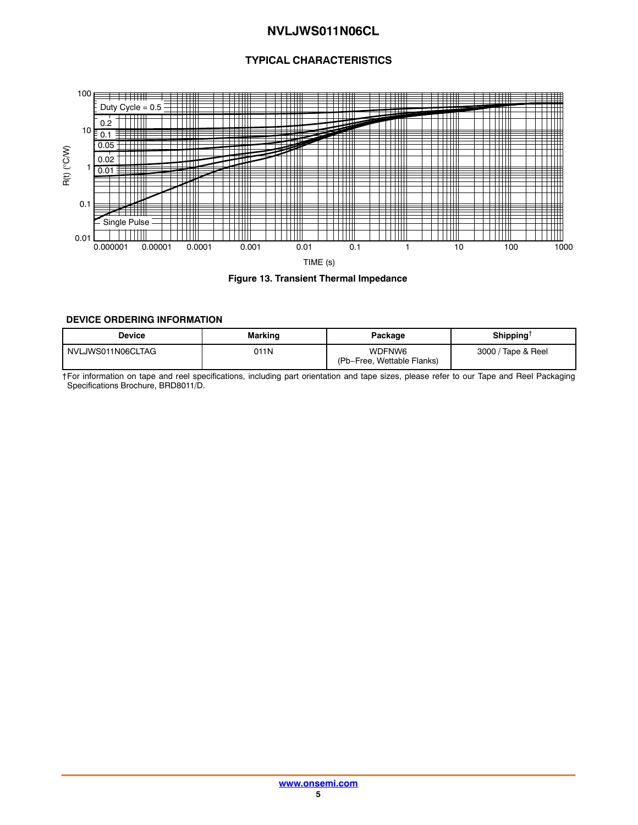#### **TYPICAL CHARACTERISTICS**

<span id="page-4-0"></span>

#### **Figure 13. Transient Thermal Impedance**

#### **DEVICE ORDERING INFORMATION**

| Device            | Marking | Package                              | Shipping™          |
|-------------------|---------|--------------------------------------|--------------------|
| NVLJWS011N06CLTAG | 011N    | WDFNW6<br>(Pb-Free, Wettable Flanks) | 3000 / Tape & Reel |

†For information on tape and reel specifications, including part orientation and tape sizes, please refer to our Tape and Reel Packaging Specifications Brochure, BRD8011/D.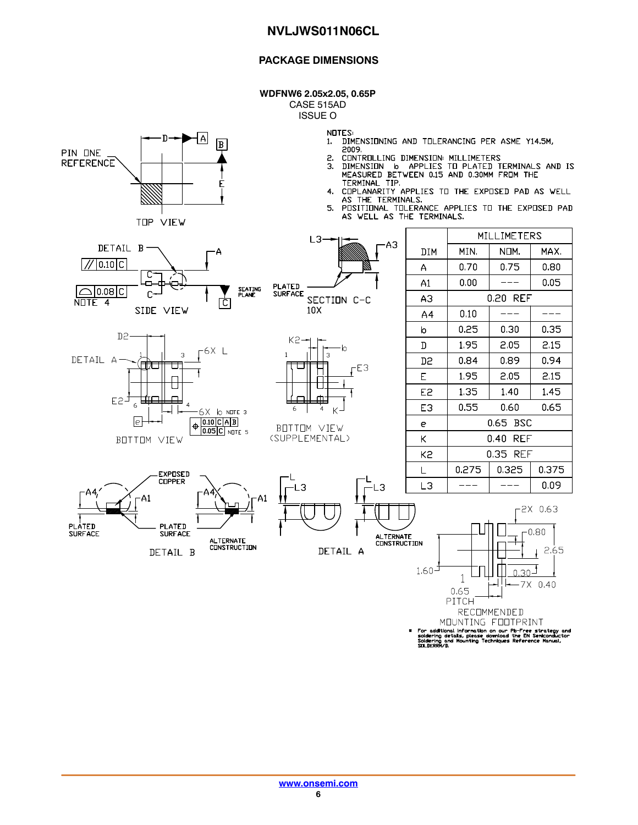#### **PACKAGE DIMENSIONS**

**WDFNW6 2.05x2.05, 0.65P**

CASE 515AD ISSUE O

{∆

 $\boxed{B}$ 

٠Ŋ

PIN ONE

**REFERENCE** 

**NOTES** 

- DIMENSIONING AND TOLERANCING PER ASME Y14.5M,  $1.$ 2009.
- 2.
- CONTROLLING DIMENSION: MILLIMETERS<br>DIMENSION 6 APPLIES TO PLATED TERMINALS AND IS<br>MEASURED BETWEEN 0.15 AND 0.30MM FROM THE 3.
- TERMINAL TIP.<br>TERMINAL TIP. APPLIES TO THE EXPOSED PAD AS WELL 4. AS THE TERMINALS.
- POSTTIE TERMINALS:<br>PESITIENAL TELERANCE APPLIES TE THE EXPESED PAD<br>AS WELL AS THE TERMINALS. 5.